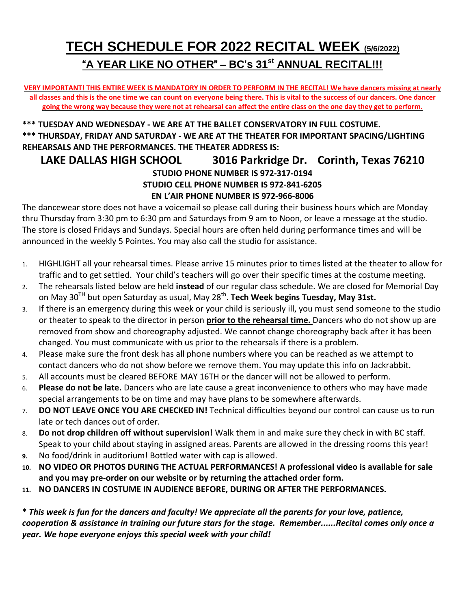# **TECH SCHEDULE FOR 2022 RECITAL WEEK (5/6/2022)** "**A YEAR LIKE NO OTHER**" – **BC**'**s 31st ANNUAL RECITAL!!!**

VERY IMPORTANT! THIS ENTIRE WEEK IS MANDATORY IN ORDER TO PERFORM IN THE RECITAL! We have dancers missing at nearly all classes and this is the one time we can count on everyone being there. This is vital to the success of our dancers. One dancer going the wrong way because they were not at rehearsal can affect the entire class on the one day they get to perform.

#### **\*\*\* TUESDAY AND WEDNESDAY - WE ARE AT THE BALLET CONSERVATORY IN FULL COSTUME. \*\*\* THURSDAY, FRIDAY AND SATURDAY - WE ARE AT THE THEATER FOR IMPORTANT SPACING/LIGHTING REHEARSALS AND THE PERFORMANCES. THE THEATER ADDRESS IS:**

#### **LAKE DALLAS HIGH SCHOOL 3016 Parkridge Dr. Corinth, Texas 76210 STUDIO PHONE NUMBER IS 972-317-0194 STUDIO CELL PHONE NUMBER IS 972-841-6205 EN L'AIR PHONE NUMBER IS 972-966-8006**

The dancewear store does not have a voicemail so please call during their business hours which are Monday thru Thursday from 3:30 pm to 6:30 pm and Saturdays from 9 am to Noon, or leave a message at the studio. The store is closed Fridays and Sundays. Special hours are often held during performance times and will be announced in the weekly 5 Pointes. You may also call the studio for assistance.

- 1. HIGHLIGHT all your rehearsal times. Please arrive 15 minutes prior to times listed at the theater to allow for traffic and to get settled. Your child's teachers will go over their specific times at the costume meeting.
- 2. The rehearsals listed below are held **instead** of our regular class schedule. We are closed for Memorial Day on May 30TH but open Saturday as usual, May 28th . **Tech Week begins Tuesday, May 31st.**
- 3. If there is an emergency during this week or your child is seriously ill, you must send someone to the studio or theater to speak to the director in person **prior to the rehearsal time.** Dancers who do not show up are removed from show and choreography adjusted. We cannot change choreography back after it has been changed. You must communicate with us prior to the rehearsals if there is a problem.
- 4. Please make sure the front desk has all phone numbers where you can be reached as we attempt to contact dancers who do not show before we remove them. You may update this info on Jackrabbit.
- 5. All accounts must be cleared BEFORE MAY 16TH or the dancer will not be allowed to perform.
- 6. **Please do not be late.** Dancers who are late cause a great inconvenience to others who may have made special arrangements to be on time and may have plans to be somewhere afterwards.
- 7. **DO NOT LEAVE ONCE YOU ARE CHECKED IN!** Technical difficulties beyond our control can cause us to run late or tech dances out of order.
- 8. **Do not drop children off without supervision!** Walk them in and make sure they check in with BC staff. Speak to your child about staying in assigned areas. Parents are allowed in the dressing rooms this year!
- **9.** No food/drink in auditorium! Bottled water with cap is allowed.
- **10. NO VIDEO OR PHOTOS DURING THE ACTUAL PERFORMANCES! A professional video is available for sale and you may pre-order on our website or by returning the attached order form.**
- **11. NO DANCERS IN COSTUME IN AUDIENCE BEFORE, DURING OR AFTER THE PERFORMANCES.**

\* This week is fun for the dancers and faculty! We appreciate all the parents for your love, patience, *cooperation & assistance in training our future stars for the stage. Remember......Recital comes only once a year. We hope everyone enjoys this special week with your child!*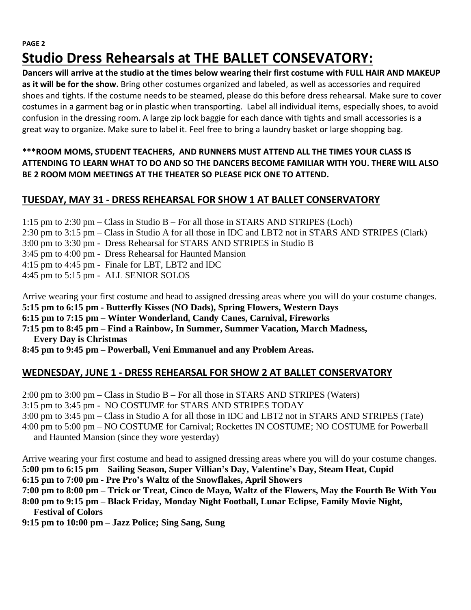## **PAGE 2 Studio Dress Rehearsals at THE BALLET CONSEVATORY:**

Dancers will arrive at the studio at the times below wearing their first costume with FULL HAIR AND MAKEUP **as it will be for the show.** Bring other costumes organized and labeled, as well as accessories and required shoes and tights. If the costume needs to be steamed, please do this before dress rehearsal. Make sure to cover costumes in a garment bag or in plastic when transporting. Label all individual items, especially shoes, to avoid confusion in the dressing room. A large zip lock baggie for each dance with tights and small accessories is a great way to organize. Make sure to label it. Feel free to bring a laundry basket or large shopping bag.

#### **\*\*\*ROOM MOMS, STUDENT TEACHERS, AND RUNNERS MUST ATTEND ALL THE TIMES YOUR CLASS IS ATTENDING TO LEARN WHAT TO DO AND SO THE DANCERS BECOME FAMILIAR WITH YOU. THERE WILL ALSO BE 2 ROOM MOM MEETINGS AT THE THEATER SO PLEASE PICK ONE TO ATTEND.**

### **TUESDAY, MAY 31 - DRESS REHEARSAL FOR SHOW 1 AT BALLET CONSERVATORY**

- 1:15 pm to 2:30 pm Class in Studio B For all those in STARS AND STRIPES (Loch)
- 2:30 pm to 3:15 pm Class in Studio A for all those in IDC and LBT2 not in STARS AND STRIPES (Clark)
- 3:00 pm to 3:30 pm Dress Rehearsal for STARS AND STRIPES in Studio B
- 3:45 pm to 4:00 pm Dress Rehearsal for Haunted Mansion
- 4:15 pm to 4:45 pm Finale for LBT, LBT2 and IDC
- 4:45 pm to 5:15 pm ALL SENIOR SOLOS

Arrive wearing your first costume and head to assigned dressing areas where you will do your costume changes. **5:15 pm to 6:15 pm - Butterfly Kisses (NO Dads), Spring Flowers, Western Days**

- 
- **6:15 pm to 7:15 pm – Winter Wonderland, Candy Canes, Carnival, Fireworks**
- **7:15 pm to 8:45 pm – Find a Rainbow, In Summer, Summer Vacation, March Madness, Every Day is Christmas**
- **8:45 pm to 9:45 pm – Powerball, Veni Emmanuel and any Problem Areas.**

#### **WEDNESDAY, JUNE 1 - DRESS REHEARSAL FOR SHOW 2 AT BALLET CONSERVATORY**

2:00 pm to 3:00 pm – Class in Studio B – For all those in STARS AND STRIPES (Waters)

3:15 pm to 3:45 pm - NO COSTUME for STARS AND STRIPES TODAY

3:00 pm to 3:45 pm – Class in Studio A for all those in IDC and LBT2 not in STARS AND STRIPES (Tate)

- 4:00 pm to 5:00 pm NO COSTUME for Carnival; Rockettes IN COSTUME; NO COSTUME for Powerball
- and Haunted Mansion (since they wore yesterday)

Arrive wearing your first costume and head to assigned dressing areas where you will do your costume changes.

- **5:00 pm to 6:15 pm Sailing Season, Super Villian's Day, Valentine's Day, Steam Heat, Cupid**
- **6:15 pm to 7:00 pm - Pre Pro's Waltz of the Snowflakes, April Showers**
- 7:00 pm to 8:00 pm Trick or Treat, Cinco de Mayo, Waltz of the Flowers, May the Fourth Be With You
- **8:00 pm to 9:15 pm – Black Friday, Monday Night Football, Lunar Eclipse, Family Movie Night,**

 **Festival of Colors**

**9:15 pm to 10:00 pm – Jazz Police; Sing Sang, Sung**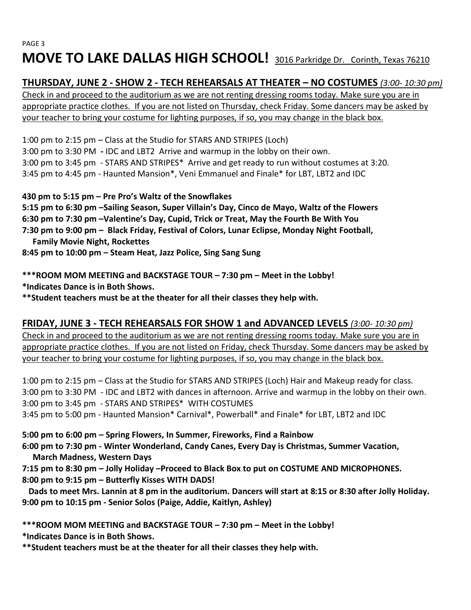### PAGE 3 **MOVE TO LAKE DALLAS HIGH SCHOOL!** <sup>3016</sup> Parkridge Dr. Corinth, Texas <sup>76210</sup>

### **THURSDAY, JUNE 2 - SHOW 2 - TECH REHEARSALS AT THEATER – NO COSTUMES** *(3:00- 10:30 pm)*

Check in and proceed to the auditorium as we are not renting dressing rooms today. Make sure you are in appropriate practice clothes. If you are not listed on Thursday, check Friday. Some dancers may be asked by your teacher to bring your costume for lighting purposes, if so, you may change in the black box.

1:00 pm to 2:15 pm – Class at the Studio for STARS AND STRIPES (Loch) 3:00 pm to 3:30 PM **-** IDC and LBT2 Arrive and warmup in the lobby on their own. 3:00 pm to 3:45 pm - STARS AND STRIPES\* Arrive and get ready to run without costumes at 3:20. 3:45 pm to 4:45 pm - Haunted Mansion\*, Veni Emmanuel and Finale\* for LBT, LBT2 and IDC

#### **430 pm to 5:15 pm – Pre Pro's Waltz of the Snowflakes**

**5:15 pm to 6:30 pm –Sailing Season, Super Villain's Day, Cinco de Mayo, Waltz of the Flowers 6:30 pm to 7:30 pm –Valentine's Day, Cupid, Trick or Treat, May the Fourth Be With You 7:30 pm to 9:00 pm – Black Friday, Festival of Colors, Lunar Eclipse, Monday Night Football, Family Movie Night, Rockettes**

**8:45 pm to 10:00 pm – Steam Heat, Jazz Police, Sing Sang Sung**

**\*\*\*ROOM MOM MEETING and BACKSTAGE TOUR – 7:30 pm – Meet in the Lobby! \*Indicates Dance is in Both Shows.**

**\*\*Student teachers must be at the theater for all their classes they help with.**

#### **FRIDAY, JUNE 3 - TECH REHEARSALS FOR SHOW 1 and ADVANCED LEVELS** *(3:00- 10:30 pm)*

Check in and proceed to the auditorium as we are not renting dressing rooms today. Make sure you are in appropriate practice clothes. If you are not listed on Friday, check Thursday. Some dancers may be asked by your teacher to bring your costume for lighting purposes, if so, you may change in the black box.

1:00 pm to 2:15 pm – Class at the Studio for STARS AND STRIPES (Loch) Hair and Makeup ready for class. 3:00 pm to 3:30 PM - IDC and LBT2 with dances in afternoon. Arrive and warmup in the lobby on their own. 3:00 pm to 3:45 pm - STARS AND STRIPES\* WITH COSTUMES 3:45 pm to 5:00 pm - Haunted Mansion\* Carnival\*, Powerball\* and Finale\* for LBT, LBT2 and IDC

**5:00 pm to 6:00 pm – Spring Flowers, In Summer, Fireworks, Find a Rainbow**

- **6:00 pm to 7:30 pm - Winter Wonderland, Candy Canes, Every Day is Christmas, Summer Vacation, March Madness, Western Days**
- **7:15 pm to 8:30 pm – Jolly Holiday –Proceed to Black Box to put on COSTUME AND MICROPHONES.**
- **8:00 pm to 9:15 pm – Butterfly Kisses WITH DADS!**

Dads to meet Mrs. Lannin at 8 pm in the auditorium. Dancers will start at 8:15 or 8:30 after Jolly Holiday. **9:00 pm to 10:15 pm - Senior Solos (Paige, Addie, Kaitlyn, Ashley)**

**\*\*\*ROOM MOM MEETING and BACKSTAGE TOUR – 7:30 pm – Meet in the Lobby!**

**\*Indicates Dance is in Both Shows.**

**\*\*Student teachers must be at the theater for all their classes they help with.**